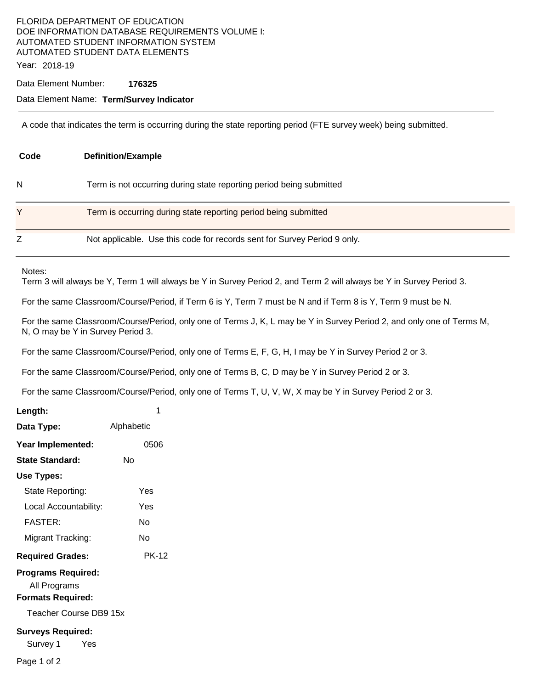## FLORIDA DEPARTMENT OF EDUCATION DOE INFORMATION DATABASE REQUIREMENTS VOLUME I: AUTOMATED STUDENT INFORMATION SYSTEM AUTOMATED STUDENT DATA ELEMENTS Year: 2018-19

Data Element Number: **176325** 

## Data Element Name: **Term/Survey Indicator**

A code that indicates the term is occurring during the state reporting period (FTE survey week) being submitted.

| Code | <b>Definition/Example</b>                                                |  |  |  |
|------|--------------------------------------------------------------------------|--|--|--|
| N    | Term is not occurring during state reporting period being submitted      |  |  |  |
| Y    | Term is occurring during state reporting period being submitted          |  |  |  |
|      | Not applicable. Use this code for records sent for Survey Period 9 only. |  |  |  |

Notes:

Term 3 will always be Y, Term 1 will always be Y in Survey Period 2, and Term 2 will always be Y in Survey Period 3.

For the same Classroom/Course/Period, if Term 6 is Y, Term 7 must be N and if Term 8 is Y, Term 9 must be N.

For the same Classroom/Course/Period, only one of Terms J, K, L may be Y in Survey Period 2, and only one of Terms M, N, O may be Y in Survey Period 3.

For the same Classroom/Course/Period, only one of Terms E, F, G, H, I may be Y in Survey Period 2 or 3.

For the same Classroom/Course/Period, only one of Terms B, C, D may be Y in Survey Period 2 or 3.

For the same Classroom/Course/Period, only one of Terms T, U, V, W, X may be Y in Survey Period 2 or 3.

| Length:                                                                                         | 1            |  |  |  |  |  |
|-------------------------------------------------------------------------------------------------|--------------|--|--|--|--|--|
| Data Type:                                                                                      | Alphabetic   |  |  |  |  |  |
| Year Implemented:                                                                               | 0506         |  |  |  |  |  |
| State Standard:                                                                                 | Nο           |  |  |  |  |  |
| Use Types:                                                                                      |              |  |  |  |  |  |
| State Reporting:                                                                                | Yes          |  |  |  |  |  |
| Local Accountability:                                                                           | Yes          |  |  |  |  |  |
| <b>FASTER:</b>                                                                                  | N٥           |  |  |  |  |  |
| Migrant Tracking:                                                                               | N٥           |  |  |  |  |  |
| <b>Required Grades:</b>                                                                         | <b>PK-12</b> |  |  |  |  |  |
| <b>Programs Required:</b><br>All Programs<br><b>Formats Required:</b><br>Teacher Course DB9 15x |              |  |  |  |  |  |
| <b>Surveys Required:</b><br>Survey 1<br>Yes<br>Page 1 of 2                                      |              |  |  |  |  |  |